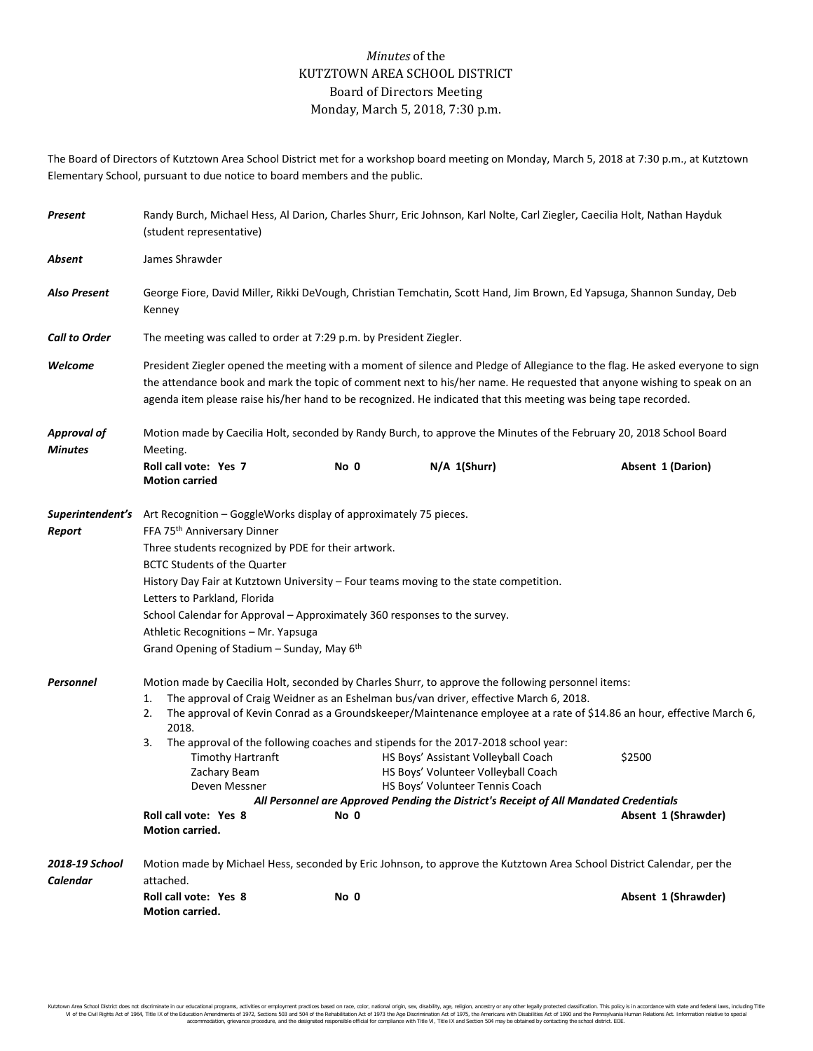## *Minutes* of the KUTZTOWN AREA SCHOOL DISTRICT Board of Directors Meeting Monday, March 5, 2018, 7:30 p.m.

The Board of Directors of Kutztown Area School District met for a workshop board meeting on Monday, March 5, 2018 at 7:30 p.m., at Kutztown Elementary School, pursuant to due notice to board members and the public.

| Present                              | Randy Burch, Michael Hess, Al Darion, Charles Shurr, Eric Johnson, Karl Nolte, Carl Ziegler, Caecilia Holt, Nathan Hayduk<br>(student representative)                                                                                                                                                                                                                                                                                                                                                                                     |      |                                                                                                                                                                                                                                                                                                                                                                                                                                                                                            |                                                                                                                                                        |  |  |
|--------------------------------------|-------------------------------------------------------------------------------------------------------------------------------------------------------------------------------------------------------------------------------------------------------------------------------------------------------------------------------------------------------------------------------------------------------------------------------------------------------------------------------------------------------------------------------------------|------|--------------------------------------------------------------------------------------------------------------------------------------------------------------------------------------------------------------------------------------------------------------------------------------------------------------------------------------------------------------------------------------------------------------------------------------------------------------------------------------------|--------------------------------------------------------------------------------------------------------------------------------------------------------|--|--|
| Absent                               | James Shrawder                                                                                                                                                                                                                                                                                                                                                                                                                                                                                                                            |      |                                                                                                                                                                                                                                                                                                                                                                                                                                                                                            |                                                                                                                                                        |  |  |
| Also Present                         | George Fiore, David Miller, Rikki DeVough, Christian Temchatin, Scott Hand, Jim Brown, Ed Yapsuga, Shannon Sunday, Deb<br>Kenney                                                                                                                                                                                                                                                                                                                                                                                                          |      |                                                                                                                                                                                                                                                                                                                                                                                                                                                                                            |                                                                                                                                                        |  |  |
| <b>Call to Order</b>                 | The meeting was called to order at 7:29 p.m. by President Ziegler.                                                                                                                                                                                                                                                                                                                                                                                                                                                                        |      |                                                                                                                                                                                                                                                                                                                                                                                                                                                                                            |                                                                                                                                                        |  |  |
| Welcome                              | President Ziegler opened the meeting with a moment of silence and Pledge of Allegiance to the flag. He asked everyone to sign<br>the attendance book and mark the topic of comment next to his/her name. He requested that anyone wishing to speak on an<br>agenda item please raise his/her hand to be recognized. He indicated that this meeting was being tape recorded.                                                                                                                                                               |      |                                                                                                                                                                                                                                                                                                                                                                                                                                                                                            |                                                                                                                                                        |  |  |
| <b>Approval of</b><br><b>Minutes</b> | Motion made by Caecilia Holt, seconded by Randy Burch, to approve the Minutes of the February 20, 2018 School Board<br>Meeting.                                                                                                                                                                                                                                                                                                                                                                                                           |      |                                                                                                                                                                                                                                                                                                                                                                                                                                                                                            |                                                                                                                                                        |  |  |
|                                      | Roll call vote: Yes 7<br><b>Motion carried</b>                                                                                                                                                                                                                                                                                                                                                                                                                                                                                            | No 0 | N/A 1(Shurr)                                                                                                                                                                                                                                                                                                                                                                                                                                                                               | Absent 1 (Darion)                                                                                                                                      |  |  |
| Report                               | <b>Superintendent's</b> Art Recognition – GoggleWorks display of approximately 75 pieces.<br>FFA 75 <sup>th</sup> Anniversary Dinner<br>Three students recognized by PDE for their artwork.<br><b>BCTC Students of the Quarter</b><br>History Day Fair at Kutztown University – Four teams moving to the state competition.<br>Letters to Parkland, Florida<br>School Calendar for Approval – Approximately 360 responses to the survey.<br>Athletic Recognitions - Mr. Yapsuga<br>Grand Opening of Stadium - Sunday, May 6 <sup>th</sup> |      |                                                                                                                                                                                                                                                                                                                                                                                                                                                                                            |                                                                                                                                                        |  |  |
| Personnel                            | 1.<br>2.<br>2018.<br>3.<br><b>Timothy Hartranft</b><br>Zachary Beam<br>Deven Messner<br>Roll call vote: Yes 8<br>Motion carried.                                                                                                                                                                                                                                                                                                                                                                                                          | No 0 | Motion made by Caecilia Holt, seconded by Charles Shurr, to approve the following personnel items:<br>The approval of Craig Weidner as an Eshelman bus/van driver, effective March 6, 2018.<br>The approval of the following coaches and stipends for the 2017-2018 school year:<br>HS Boys' Assistant Volleyball Coach<br>HS Boys' Volunteer Volleyball Coach<br>HS Boys' Volunteer Tennis Coach<br>All Personnel are Approved Pending the District's Receipt of All Mandated Credentials | The approval of Kevin Conrad as a Groundskeeper/Maintenance employee at a rate of \$14.86 an hour, effective March 6,<br>\$2500<br>Absent 1 (Shrawder) |  |  |
| 2018-19 School<br>Calendar           | attached.<br>Roll call vote: Yes 8<br><b>Motion carried.</b>                                                                                                                                                                                                                                                                                                                                                                                                                                                                              | No 0 |                                                                                                                                                                                                                                                                                                                                                                                                                                                                                            | Motion made by Michael Hess, seconded by Eric Johnson, to approve the Kutztown Area School District Calendar, per the<br>Absent 1 (Shrawder)           |  |  |